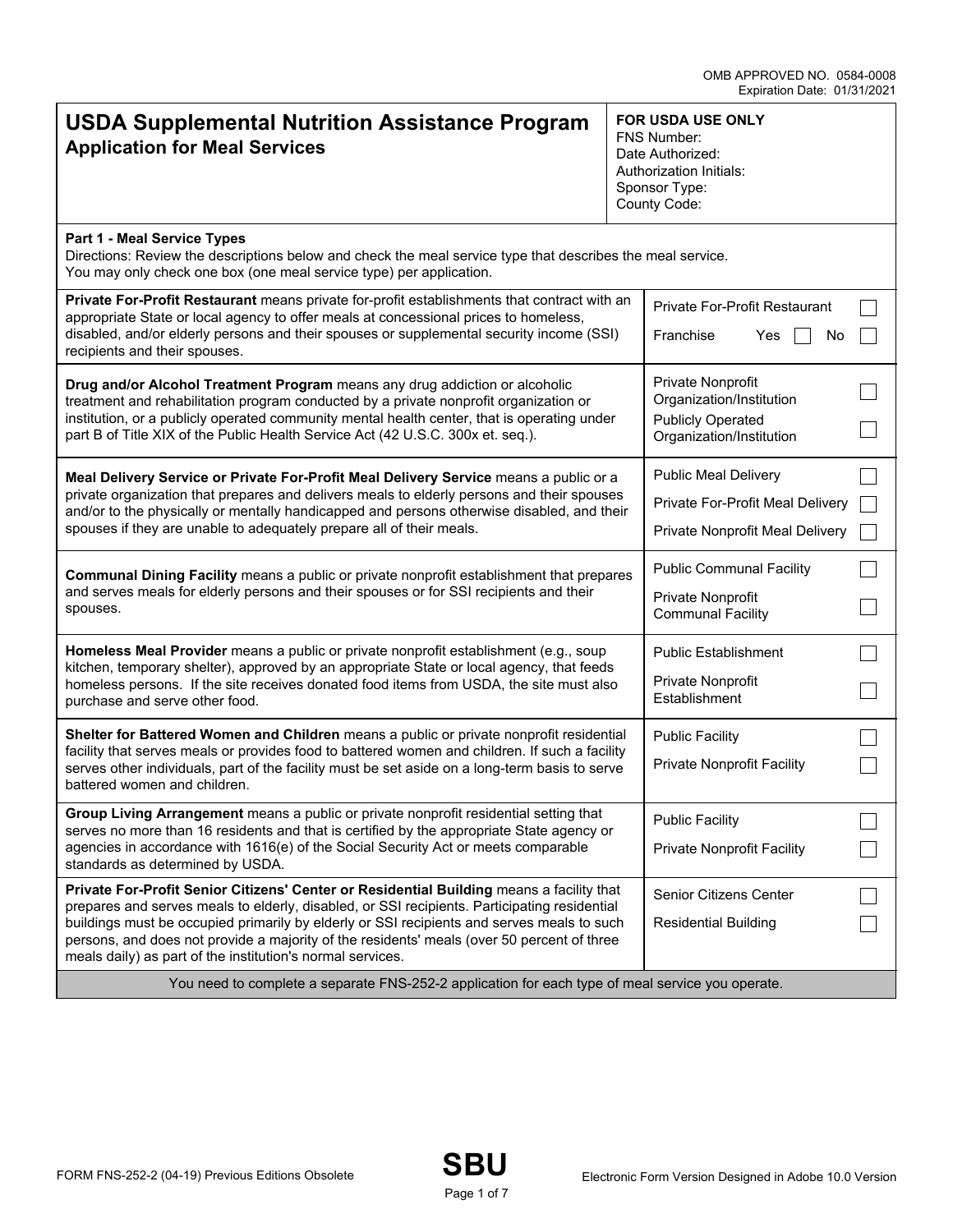| <b>USDA Supplemental Nutrition Assistance Program</b><br><b>Application for Meal Services</b>                                                                                                                                                                                                                                                                                                                                                      | <b>FOR USDA USE ONLY</b><br><b>FNS Number:</b><br>Date Authorized:<br>Authorization Initials:<br>Sponsor Type:<br>County Code: |  |  |
|----------------------------------------------------------------------------------------------------------------------------------------------------------------------------------------------------------------------------------------------------------------------------------------------------------------------------------------------------------------------------------------------------------------------------------------------------|--------------------------------------------------------------------------------------------------------------------------------|--|--|
| Part 1 - Meal Service Types<br>Directions: Review the descriptions below and check the meal service type that describes the meal service.<br>You may only check one box (one meal service type) per application.                                                                                                                                                                                                                                   |                                                                                                                                |  |  |
| Private For-Profit Restaurant means private for-profit establishments that contract with an<br>appropriate State or local agency to offer meals at concessional prices to homeless,<br>disabled, and/or elderly persons and their spouses or supplemental security income (SSI)<br>recipients and their spouses.                                                                                                                                   | Private For-Profit Restaurant<br>Franchise<br>Yes<br>No                                                                        |  |  |
| Drug and/or Alcohol Treatment Program means any drug addiction or alcoholic<br>treatment and rehabilitation program conducted by a private nonprofit organization or<br>institution, or a publicly operated community mental health center, that is operating under<br>part B of Title XIX of the Public Health Service Act (42 U.S.C. 300x et. seq.).                                                                                             | Private Nonprofit<br>Organization/Institution<br><b>Publicly Operated</b><br>Organization/Institution                          |  |  |
| Meal Delivery Service or Private For-Profit Meal Delivery Service means a public or a<br>private organization that prepares and delivers meals to elderly persons and their spouses<br>and/or to the physically or mentally handicapped and persons otherwise disabled, and their<br>spouses if they are unable to adequately prepare all of their meals.                                                                                          | <b>Public Meal Delivery</b><br>Private For-Profit Meal Delivery<br>Private Nonprofit Meal Delivery                             |  |  |
| Communal Dining Facility means a public or private nonprofit establishment that prepares<br>and serves meals for elderly persons and their spouses or for SSI recipients and their<br>spouses.                                                                                                                                                                                                                                                     | <b>Public Communal Facility</b><br>Private Nonprofit<br><b>Communal Facility</b>                                               |  |  |
| Homeless Meal Provider means a public or private nonprofit establishment (e.g., soup<br>kitchen, temporary shelter), approved by an appropriate State or local agency, that feeds<br>homeless persons. If the site receives donated food items from USDA, the site must also<br>purchase and serve other food.                                                                                                                                     | <b>Public Establishment</b><br>Private Nonprofit<br>Establishment                                                              |  |  |
| Shelter for Battered Women and Children means a public or private nonprofit residential<br>facility that serves meals or provides food to battered women and children. If such a facility<br>serves other individuals, part of the facility must be set aside on a long-term basis to serve<br>battered women and children.                                                                                                                        | <b>Public Facility</b><br><b>Private Nonprofit Facility</b>                                                                    |  |  |
| Group Living Arrangement means a public or private nonprofit residential setting that<br>serves no more than 16 residents and that is certified by the appropriate State agency or<br>agencies in accordance with 1616(e) of the Social Security Act or meets comparable<br>standards as determined by USDA.                                                                                                                                       | <b>Public Facility</b><br><b>Private Nonprofit Facility</b>                                                                    |  |  |
| Private For-Profit Senior Citizens' Center or Residential Building means a facility that<br>prepares and serves meals to elderly, disabled, or SSI recipients. Participating residential<br>buildings must be occupied primarily by elderly or SSI recipients and serves meals to such<br>persons, and does not provide a majority of the residents' meals (over 50 percent of three<br>meals daily) as part of the institution's normal services. | Senior Citizens Center<br><b>Residential Building</b>                                                                          |  |  |
| You need to complete a separate FNS-252-2 application for each type of meal service you operate.                                                                                                                                                                                                                                                                                                                                                   |                                                                                                                                |  |  |

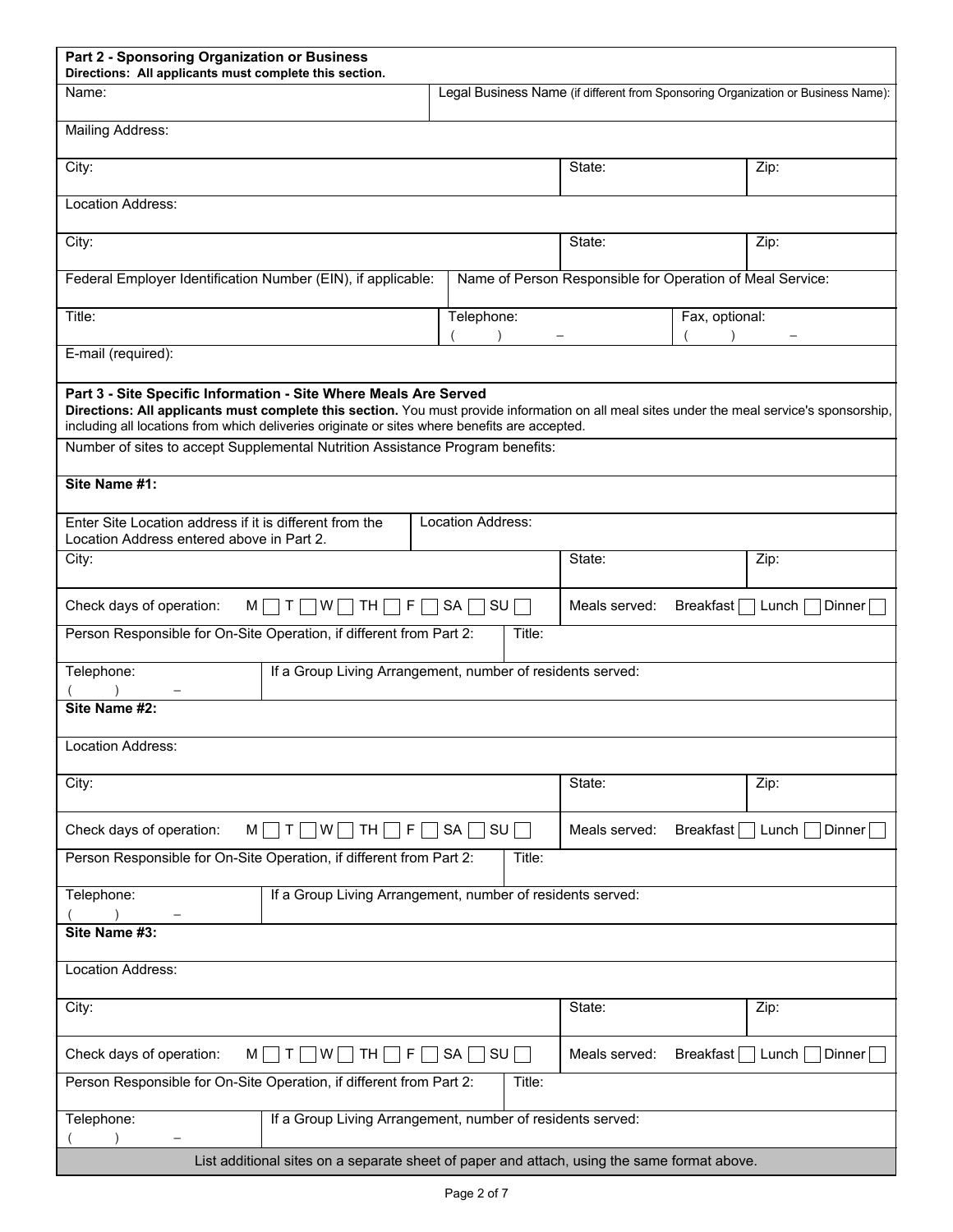| Part 2 - Sponsoring Organization or Business<br>Directions: All applicants must complete this section.                                                                                                                                                                                                           |            |                                                                                   |                 |  |  |
|------------------------------------------------------------------------------------------------------------------------------------------------------------------------------------------------------------------------------------------------------------------------------------------------------------------|------------|-----------------------------------------------------------------------------------|-----------------|--|--|
| Name:                                                                                                                                                                                                                                                                                                            |            | Legal Business Name (if different from Sponsoring Organization or Business Name): |                 |  |  |
| <b>Mailing Address:</b>                                                                                                                                                                                                                                                                                          |            |                                                                                   |                 |  |  |
| City:                                                                                                                                                                                                                                                                                                            |            | State:                                                                            | Zip:            |  |  |
| Location Address:                                                                                                                                                                                                                                                                                                |            |                                                                                   |                 |  |  |
| City:                                                                                                                                                                                                                                                                                                            |            | State:                                                                            | Zip:            |  |  |
| Federal Employer Identification Number (EIN), if applicable:                                                                                                                                                                                                                                                     |            | Name of Person Responsible for Operation of Meal Service:                         |                 |  |  |
| Title:                                                                                                                                                                                                                                                                                                           | Telephone: | Fax, optional:                                                                    |                 |  |  |
| E-mail (required):                                                                                                                                                                                                                                                                                               |            |                                                                                   |                 |  |  |
| Part 3 - Site Specific Information - Site Where Meals Are Served<br>Directions: All applicants must complete this section. You must provide information on all meal sites under the meal service's sponsorship,<br>including all locations from which deliveries originate or sites where benefits are accepted. |            |                                                                                   |                 |  |  |
| Number of sites to accept Supplemental Nutrition Assistance Program benefits:                                                                                                                                                                                                                                    |            |                                                                                   |                 |  |  |
| Site Name #1:                                                                                                                                                                                                                                                                                                    |            |                                                                                   |                 |  |  |
| Location Address:<br>Enter Site Location address if it is different from the<br>Location Address entered above in Part 2.                                                                                                                                                                                        |            |                                                                                   |                 |  |  |
| City:                                                                                                                                                                                                                                                                                                            | State:     |                                                                                   | Zip:            |  |  |
| Check days of operation:<br>$M \Box T$<br>W<br>TH<br>F.                                                                                                                                                                                                                                                          | SA<br>SU   | Meals served:<br>Breakfast                                                        | Lunch<br>Dinner |  |  |
| Person Responsible for On-Site Operation, if different from Part 2:                                                                                                                                                                                                                                              | Title:     |                                                                                   |                 |  |  |
| If a Group Living Arrangement, number of residents served:<br>Telephone:                                                                                                                                                                                                                                         |            |                                                                                   |                 |  |  |
| Site Name #2:                                                                                                                                                                                                                                                                                                    |            |                                                                                   |                 |  |  |
| Location Address:                                                                                                                                                                                                                                                                                                |            |                                                                                   |                 |  |  |
| City:                                                                                                                                                                                                                                                                                                            |            | State:                                                                            | Zip:            |  |  |
| Check days of operation:<br>M<br>TH<br>F.<br>Τ<br>W                                                                                                                                                                                                                                                              | SA  <br>SU | Meals served:<br>Breakfast                                                        | Lunch<br>Dinner |  |  |
| Person Responsible for On-Site Operation, if different from Part 2:<br>Title:                                                                                                                                                                                                                                    |            |                                                                                   |                 |  |  |
| Telephone:<br>If a Group Living Arrangement, number of residents served:                                                                                                                                                                                                                                         |            |                                                                                   |                 |  |  |
| Site Name #3:                                                                                                                                                                                                                                                                                                    |            |                                                                                   |                 |  |  |
| Location Address:                                                                                                                                                                                                                                                                                                |            |                                                                                   |                 |  |  |
| City:                                                                                                                                                                                                                                                                                                            |            | State:                                                                            | Zip:            |  |  |
| Check days of operation:<br>M l<br>F.<br>W  <br>TH<br>$\top$                                                                                                                                                                                                                                                     | SA<br>SU   | Meals served:<br>Breakfast                                                        | Dinner<br>Lunch |  |  |
| Person Responsible for On-Site Operation, if different from Part 2:<br>Title:                                                                                                                                                                                                                                    |            |                                                                                   |                 |  |  |
| If a Group Living Arrangement, number of residents served:<br>Telephone:                                                                                                                                                                                                                                         |            |                                                                                   |                 |  |  |
| List additional sites on a separate sheet of paper and attach, using the same format above.                                                                                                                                                                                                                      |            |                                                                                   |                 |  |  |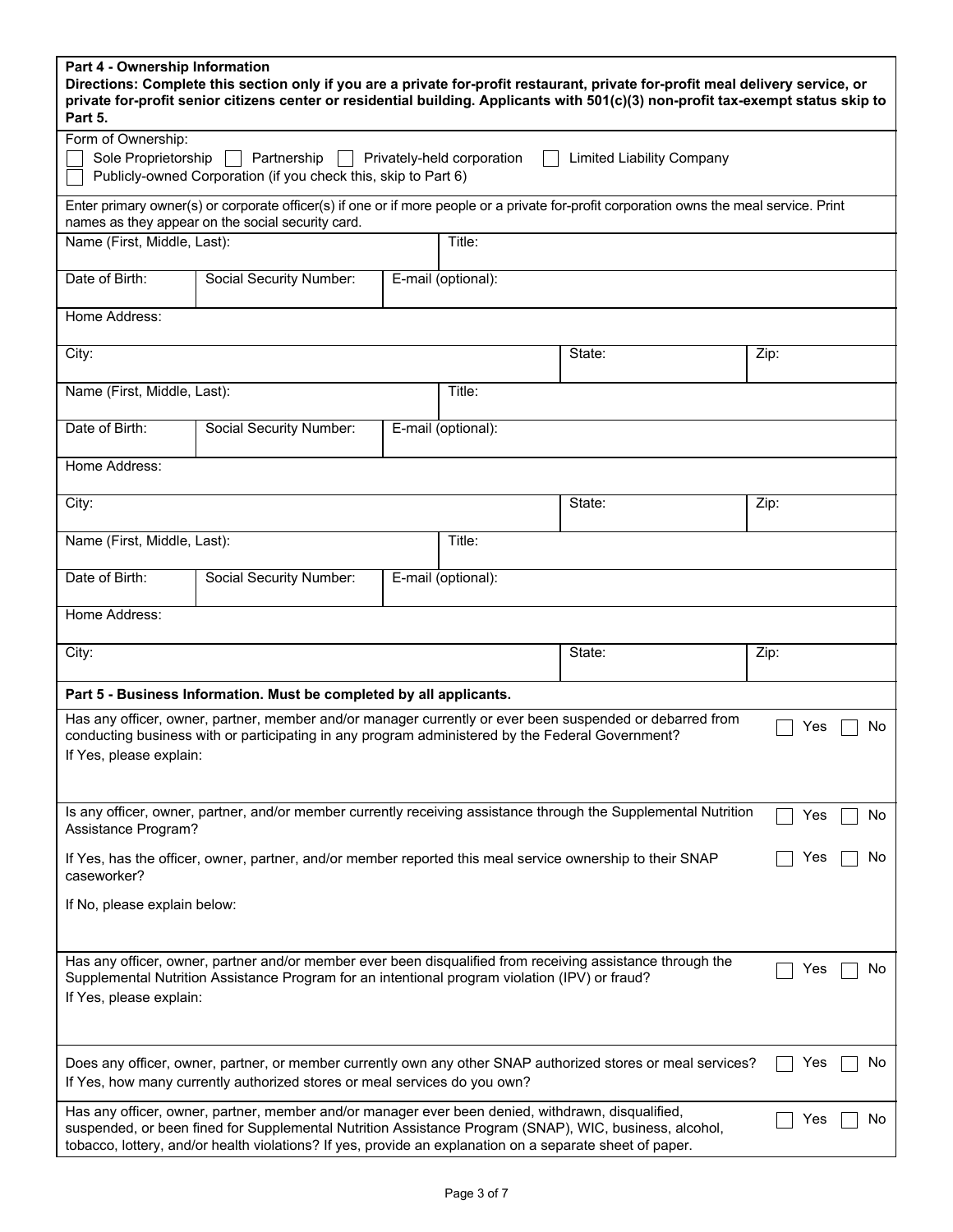| Part 4 - Ownership Information<br>Directions: Complete this section only if you are a private for-profit restaurant, private for-profit meal delivery service, or<br>private for-profit senior citizens center or residential building. Applicants with 501(c)(3) non-profit tax-exempt status skip to<br>Part 5.                    |                                                                                                                                                                                               |  |                    |        |      |
|--------------------------------------------------------------------------------------------------------------------------------------------------------------------------------------------------------------------------------------------------------------------------------------------------------------------------------------|-----------------------------------------------------------------------------------------------------------------------------------------------------------------------------------------------|--|--------------------|--------|------|
| Form of Ownership:                                                                                                                                                                                                                                                                                                                   |                                                                                                                                                                                               |  |                    |        |      |
| Sole Proprietorship<br>Partnership<br>Privately-held corporation<br><b>Limited Liability Company</b><br>Publicly-owned Corporation (if you check this, skip to Part 6)                                                                                                                                                               |                                                                                                                                                                                               |  |                    |        |      |
|                                                                                                                                                                                                                                                                                                                                      | Enter primary owner(s) or corporate officer(s) if one or if more people or a private for-profit corporation owns the meal service. Print<br>names as they appear on the social security card. |  |                    |        |      |
| Name (First, Middle, Last):                                                                                                                                                                                                                                                                                                          |                                                                                                                                                                                               |  | Title:             |        |      |
| Date of Birth:                                                                                                                                                                                                                                                                                                                       | Social Security Number:                                                                                                                                                                       |  | E-mail (optional): |        |      |
| Home Address:                                                                                                                                                                                                                                                                                                                        |                                                                                                                                                                                               |  |                    |        |      |
| City:                                                                                                                                                                                                                                                                                                                                |                                                                                                                                                                                               |  |                    | State: | Zip: |
| Name (First, Middle, Last):                                                                                                                                                                                                                                                                                                          |                                                                                                                                                                                               |  | Title:             |        |      |
| Date of Birth:                                                                                                                                                                                                                                                                                                                       | Social Security Number:                                                                                                                                                                       |  | E-mail (optional): |        |      |
| Home Address:                                                                                                                                                                                                                                                                                                                        |                                                                                                                                                                                               |  |                    |        |      |
| City:                                                                                                                                                                                                                                                                                                                                |                                                                                                                                                                                               |  |                    | State: | Zip: |
| Name (First, Middle, Last):                                                                                                                                                                                                                                                                                                          |                                                                                                                                                                                               |  | Title:             |        |      |
| Date of Birth:                                                                                                                                                                                                                                                                                                                       | Social Security Number:                                                                                                                                                                       |  | E-mail (optional): |        |      |
| Home Address:                                                                                                                                                                                                                                                                                                                        |                                                                                                                                                                                               |  |                    |        |      |
| City:                                                                                                                                                                                                                                                                                                                                |                                                                                                                                                                                               |  |                    | State: | Zip: |
|                                                                                                                                                                                                                                                                                                                                      | Part 5 - Business Information. Must be completed by all applicants.                                                                                                                           |  |                    |        |      |
| Has any officer, owner, partner, member and/or manager currently or ever been suspended or debarred from<br>Yes<br>No<br>conducting business with or participating in any program administered by the Federal Government?<br>If Yes, please explain:                                                                                 |                                                                                                                                                                                               |  |                    |        |      |
| Is any officer, owner, partner, and/or member currently receiving assistance through the Supplemental Nutrition<br>Yes<br>No<br>Assistance Program?                                                                                                                                                                                  |                                                                                                                                                                                               |  |                    |        |      |
| Yes<br>No.<br>If Yes, has the officer, owner, partner, and/or member reported this meal service ownership to their SNAP                                                                                                                                                                                                              |                                                                                                                                                                                               |  |                    |        |      |
| caseworker?<br>If No, please explain below:                                                                                                                                                                                                                                                                                          |                                                                                                                                                                                               |  |                    |        |      |
|                                                                                                                                                                                                                                                                                                                                      |                                                                                                                                                                                               |  |                    |        |      |
| Has any officer, owner, partner and/or member ever been disqualified from receiving assistance through the<br>No<br>Yes<br>Supplemental Nutrition Assistance Program for an intentional program violation (IPV) or fraud?<br>If Yes, please explain:                                                                                 |                                                                                                                                                                                               |  |                    |        |      |
| Does any officer, owner, partner, or member currently own any other SNAP authorized stores or meal services?<br>Yes<br>No<br>If Yes, how many currently authorized stores or meal services do you own?                                                                                                                               |                                                                                                                                                                                               |  |                    |        |      |
| Has any officer, owner, partner, member and/or manager ever been denied, withdrawn, disqualified,<br>Yes<br>No<br>suspended, or been fined for Supplemental Nutrition Assistance Program (SNAP), WIC, business, alcohol,<br>tobacco, lottery, and/or health violations? If yes, provide an explanation on a separate sheet of paper. |                                                                                                                                                                                               |  |                    |        |      |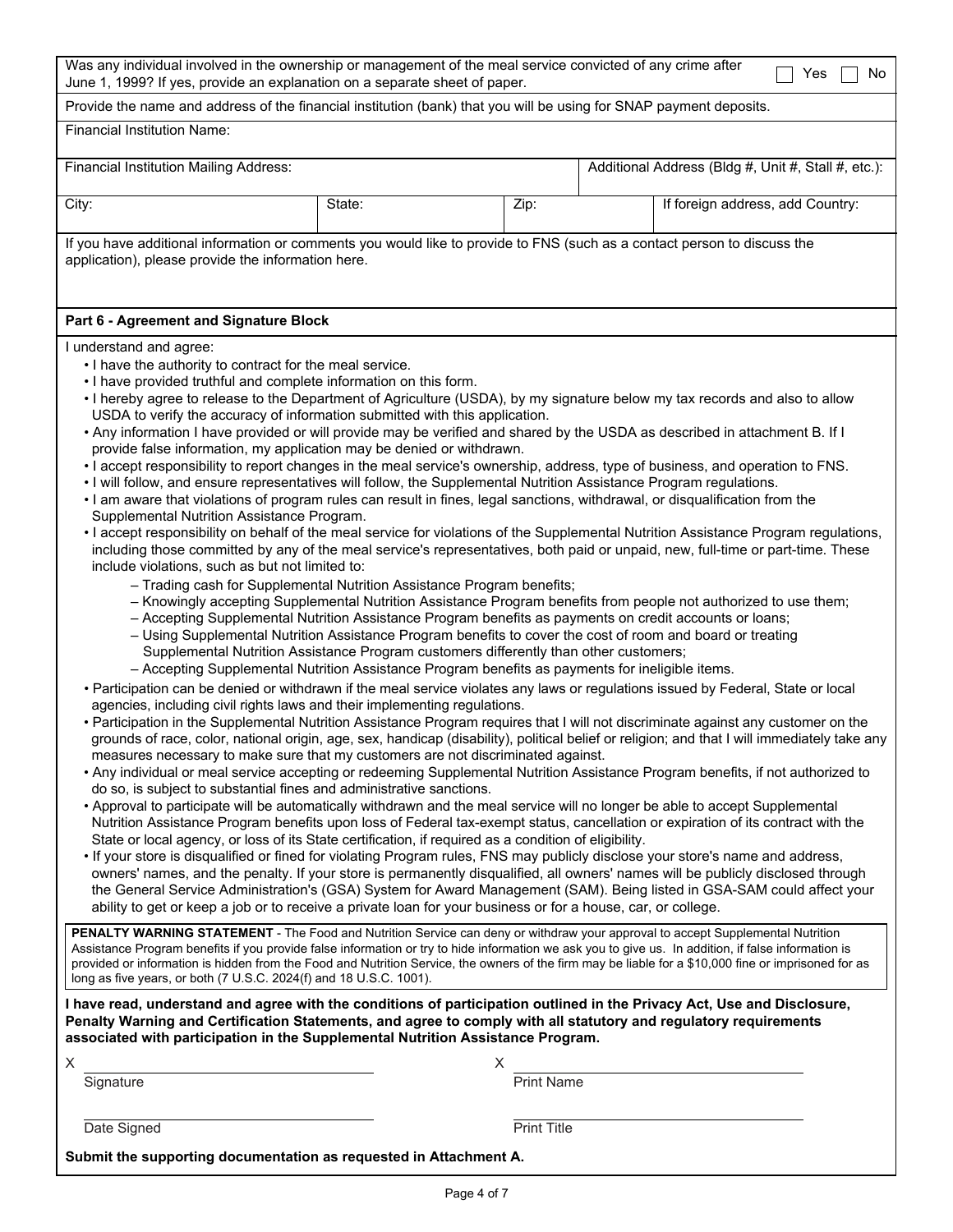| Was any individual involved in the ownership or management of the meal service convicted of any crime after<br>No<br>Yes<br>June 1, 1999? If yes, provide an explanation on a separate sheet of paper.                                                                                                                                                                                                                                                                                                                                                                                                                                                                                                                                                                                                                                                                                                                                                                                                                                                                                                                                                                                                                                                                                                                                                                                                                                                                                                                                                                                                                                                                                                                                                                                                                                                                                                                                                                                                                                                                                                                                                                                                                                                                                                                                                                                                                                                                                                                                                                                                                                                                                                                                                                                                                                                                                                                                                                                                                                                                                                                                                                                                                                                                                                                                                                                                                                                                                                                                                                                                                                                                                                                                                                                                                                                                                                                                                                                                                                                                                                                                                                                                                                                                                                                                                                                                                                                                                                                                                                                                                      |                                                                                                                                                                                |                    |                                                     |                                  |  |  |  |  |
|-----------------------------------------------------------------------------------------------------------------------------------------------------------------------------------------------------------------------------------------------------------------------------------------------------------------------------------------------------------------------------------------------------------------------------------------------------------------------------------------------------------------------------------------------------------------------------------------------------------------------------------------------------------------------------------------------------------------------------------------------------------------------------------------------------------------------------------------------------------------------------------------------------------------------------------------------------------------------------------------------------------------------------------------------------------------------------------------------------------------------------------------------------------------------------------------------------------------------------------------------------------------------------------------------------------------------------------------------------------------------------------------------------------------------------------------------------------------------------------------------------------------------------------------------------------------------------------------------------------------------------------------------------------------------------------------------------------------------------------------------------------------------------------------------------------------------------------------------------------------------------------------------------------------------------------------------------------------------------------------------------------------------------------------------------------------------------------------------------------------------------------------------------------------------------------------------------------------------------------------------------------------------------------------------------------------------------------------------------------------------------------------------------------------------------------------------------------------------------------------------------------------------------------------------------------------------------------------------------------------------------------------------------------------------------------------------------------------------------------------------------------------------------------------------------------------------------------------------------------------------------------------------------------------------------------------------------------------------------------------------------------------------------------------------------------------------------------------------------------------------------------------------------------------------------------------------------------------------------------------------------------------------------------------------------------------------------------------------------------------------------------------------------------------------------------------------------------------------------------------------------------------------------------------------------------------------------------------------------------------------------------------------------------------------------------------------------------------------------------------------------------------------------------------------------------------------------------------------------------------------------------------------------------------------------------------------------------------------------------------------------------------------------------------------------------------------------------------------------------------------------------------------------------------------------------------------------------------------------------------------------------------------------------------------------------------------------------------------------------------------------------------------------------------------------------------------------------------------------------------------------------------------------------------------------------------------------------------------------------------------------|--------------------------------------------------------------------------------------------------------------------------------------------------------------------------------|--------------------|-----------------------------------------------------|----------------------------------|--|--|--|--|
| Provide the name and address of the financial institution (bank) that you will be using for SNAP payment deposits.                                                                                                                                                                                                                                                                                                                                                                                                                                                                                                                                                                                                                                                                                                                                                                                                                                                                                                                                                                                                                                                                                                                                                                                                                                                                                                                                                                                                                                                                                                                                                                                                                                                                                                                                                                                                                                                                                                                                                                                                                                                                                                                                                                                                                                                                                                                                                                                                                                                                                                                                                                                                                                                                                                                                                                                                                                                                                                                                                                                                                                                                                                                                                                                                                                                                                                                                                                                                                                                                                                                                                                                                                                                                                                                                                                                                                                                                                                                                                                                                                                                                                                                                                                                                                                                                                                                                                                                                                                                                                                          |                                                                                                                                                                                |                    |                                                     |                                  |  |  |  |  |
| <b>Financial Institution Name:</b>                                                                                                                                                                                                                                                                                                                                                                                                                                                                                                                                                                                                                                                                                                                                                                                                                                                                                                                                                                                                                                                                                                                                                                                                                                                                                                                                                                                                                                                                                                                                                                                                                                                                                                                                                                                                                                                                                                                                                                                                                                                                                                                                                                                                                                                                                                                                                                                                                                                                                                                                                                                                                                                                                                                                                                                                                                                                                                                                                                                                                                                                                                                                                                                                                                                                                                                                                                                                                                                                                                                                                                                                                                                                                                                                                                                                                                                                                                                                                                                                                                                                                                                                                                                                                                                                                                                                                                                                                                                                                                                                                                                          |                                                                                                                                                                                |                    |                                                     |                                  |  |  |  |  |
| <b>Financial Institution Mailing Address:</b>                                                                                                                                                                                                                                                                                                                                                                                                                                                                                                                                                                                                                                                                                                                                                                                                                                                                                                                                                                                                                                                                                                                                                                                                                                                                                                                                                                                                                                                                                                                                                                                                                                                                                                                                                                                                                                                                                                                                                                                                                                                                                                                                                                                                                                                                                                                                                                                                                                                                                                                                                                                                                                                                                                                                                                                                                                                                                                                                                                                                                                                                                                                                                                                                                                                                                                                                                                                                                                                                                                                                                                                                                                                                                                                                                                                                                                                                                                                                                                                                                                                                                                                                                                                                                                                                                                                                                                                                                                                                                                                                                                               |                                                                                                                                                                                |                    | Additional Address (Bldg #, Unit #, Stall #, etc.): |                                  |  |  |  |  |
| City:                                                                                                                                                                                                                                                                                                                                                                                                                                                                                                                                                                                                                                                                                                                                                                                                                                                                                                                                                                                                                                                                                                                                                                                                                                                                                                                                                                                                                                                                                                                                                                                                                                                                                                                                                                                                                                                                                                                                                                                                                                                                                                                                                                                                                                                                                                                                                                                                                                                                                                                                                                                                                                                                                                                                                                                                                                                                                                                                                                                                                                                                                                                                                                                                                                                                                                                                                                                                                                                                                                                                                                                                                                                                                                                                                                                                                                                                                                                                                                                                                                                                                                                                                                                                                                                                                                                                                                                                                                                                                                                                                                                                                       | State:                                                                                                                                                                         | Zip:               |                                                     | If foreign address, add Country: |  |  |  |  |
|                                                                                                                                                                                                                                                                                                                                                                                                                                                                                                                                                                                                                                                                                                                                                                                                                                                                                                                                                                                                                                                                                                                                                                                                                                                                                                                                                                                                                                                                                                                                                                                                                                                                                                                                                                                                                                                                                                                                                                                                                                                                                                                                                                                                                                                                                                                                                                                                                                                                                                                                                                                                                                                                                                                                                                                                                                                                                                                                                                                                                                                                                                                                                                                                                                                                                                                                                                                                                                                                                                                                                                                                                                                                                                                                                                                                                                                                                                                                                                                                                                                                                                                                                                                                                                                                                                                                                                                                                                                                                                                                                                                                                             | If you have additional information or comments you would like to provide to FNS (such as a contact person to discuss the<br>application), please provide the information here. |                    |                                                     |                                  |  |  |  |  |
|                                                                                                                                                                                                                                                                                                                                                                                                                                                                                                                                                                                                                                                                                                                                                                                                                                                                                                                                                                                                                                                                                                                                                                                                                                                                                                                                                                                                                                                                                                                                                                                                                                                                                                                                                                                                                                                                                                                                                                                                                                                                                                                                                                                                                                                                                                                                                                                                                                                                                                                                                                                                                                                                                                                                                                                                                                                                                                                                                                                                                                                                                                                                                                                                                                                                                                                                                                                                                                                                                                                                                                                                                                                                                                                                                                                                                                                                                                                                                                                                                                                                                                                                                                                                                                                                                                                                                                                                                                                                                                                                                                                                                             |                                                                                                                                                                                |                    |                                                     |                                  |  |  |  |  |
| Part 6 - Agreement and Signature Block<br>I understand and agree:<br>. I have the authority to contract for the meal service.<br>. I have provided truthful and complete information on this form.<br>. I hereby agree to release to the Department of Agriculture (USDA), by my signature below my tax records and also to allow<br>USDA to verify the accuracy of information submitted with this application.<br>. Any information I have provided or will provide may be verified and shared by the USDA as described in attachment B. If I<br>provide false information, my application may be denied or withdrawn.<br>. I accept responsibility to report changes in the meal service's ownership, address, type of business, and operation to FNS.<br>. I will follow, and ensure representatives will follow, the Supplemental Nutrition Assistance Program regulations.<br>. I am aware that violations of program rules can result in fines, legal sanctions, withdrawal, or disqualification from the<br>Supplemental Nutrition Assistance Program.<br>• I accept responsibility on behalf of the meal service for violations of the Supplemental Nutrition Assistance Program regulations,<br>including those committed by any of the meal service's representatives, both paid or unpaid, new, full-time or part-time. These<br>include violations, such as but not limited to:<br>- Trading cash for Supplemental Nutrition Assistance Program benefits;<br>- Knowingly accepting Supplemental Nutrition Assistance Program benefits from people not authorized to use them;<br>- Accepting Supplemental Nutrition Assistance Program benefits as payments on credit accounts or loans;<br>- Using Supplemental Nutrition Assistance Program benefits to cover the cost of room and board or treating<br>Supplemental Nutrition Assistance Program customers differently than other customers;<br>- Accepting Supplemental Nutrition Assistance Program benefits as payments for ineligible items.<br>· Participation can be denied or withdrawn if the meal service violates any laws or regulations issued by Federal, State or local<br>agencies, including civil rights laws and their implementing regulations.<br>• Participation in the Supplemental Nutrition Assistance Program requires that I will not discriminate against any customer on the<br>grounds of race, color, national origin, age, sex, handicap (disability), political belief or religion; and that I will immediately take any<br>measures necessary to make sure that my customers are not discriminated against.<br>• Any individual or meal service accepting or redeeming Supplemental Nutrition Assistance Program benefits, if not authorized to<br>do so, is subject to substantial fines and administrative sanctions.<br>• Approval to participate will be automatically withdrawn and the meal service will no longer be able to accept Supplemental<br>Nutrition Assistance Program benefits upon loss of Federal tax-exempt status, cancellation or expiration of its contract with the<br>State or local agency, or loss of its State certification, if required as a condition of eligibility.<br>. If your store is disqualified or fined for violating Program rules, FNS may publicly disclose your store's name and address,<br>owners' names, and the penalty. If your store is permanently disqualified, all owners' names will be publicly disclosed through<br>the General Service Administration's (GSA) System for Award Management (SAM). Being listed in GSA-SAM could affect your<br>ability to get or keep a job or to receive a private loan for your business or for a house, car, or college.<br>PENALTY WARNING STATEMENT - The Food and Nutrition Service can deny or withdraw your approval to accept Supplemental Nutrition<br>Assistance Program benefits if you provide false information or try to hide information we ask you to give us. In addition, if false information is<br>provided or information is hidden from the Food and Nutrition Service, the owners of the firm may be liable for a \$10,000 fine or imprisoned for as<br>long as five years, or both (7 U.S.C. 2024(f) and 18 U.S.C. 1001).<br>I have read, understand and agree with the conditions of participation outlined in the Privacy Act, Use and Disclosure,<br>Penalty Warning and Certification Statements, and agree to comply with all statutory and regulatory requirements<br>associated with participation in the Supplemental Nutrition Assistance Program.<br>X<br>х<br><b>Print Name</b><br>Signature |                                                                                                                                                                                |                    |                                                     |                                  |  |  |  |  |
| Date Signed                                                                                                                                                                                                                                                                                                                                                                                                                                                                                                                                                                                                                                                                                                                                                                                                                                                                                                                                                                                                                                                                                                                                                                                                                                                                                                                                                                                                                                                                                                                                                                                                                                                                                                                                                                                                                                                                                                                                                                                                                                                                                                                                                                                                                                                                                                                                                                                                                                                                                                                                                                                                                                                                                                                                                                                                                                                                                                                                                                                                                                                                                                                                                                                                                                                                                                                                                                                                                                                                                                                                                                                                                                                                                                                                                                                                                                                                                                                                                                                                                                                                                                                                                                                                                                                                                                                                                                                                                                                                                                                                                                                                                 |                                                                                                                                                                                | <b>Print Title</b> |                                                     |                                  |  |  |  |  |
| Submit the supporting documentation as requested in Attachment A.                                                                                                                                                                                                                                                                                                                                                                                                                                                                                                                                                                                                                                                                                                                                                                                                                                                                                                                                                                                                                                                                                                                                                                                                                                                                                                                                                                                                                                                                                                                                                                                                                                                                                                                                                                                                                                                                                                                                                                                                                                                                                                                                                                                                                                                                                                                                                                                                                                                                                                                                                                                                                                                                                                                                                                                                                                                                                                                                                                                                                                                                                                                                                                                                                                                                                                                                                                                                                                                                                                                                                                                                                                                                                                                                                                                                                                                                                                                                                                                                                                                                                                                                                                                                                                                                                                                                                                                                                                                                                                                                                           |                                                                                                                                                                                |                    |                                                     |                                  |  |  |  |  |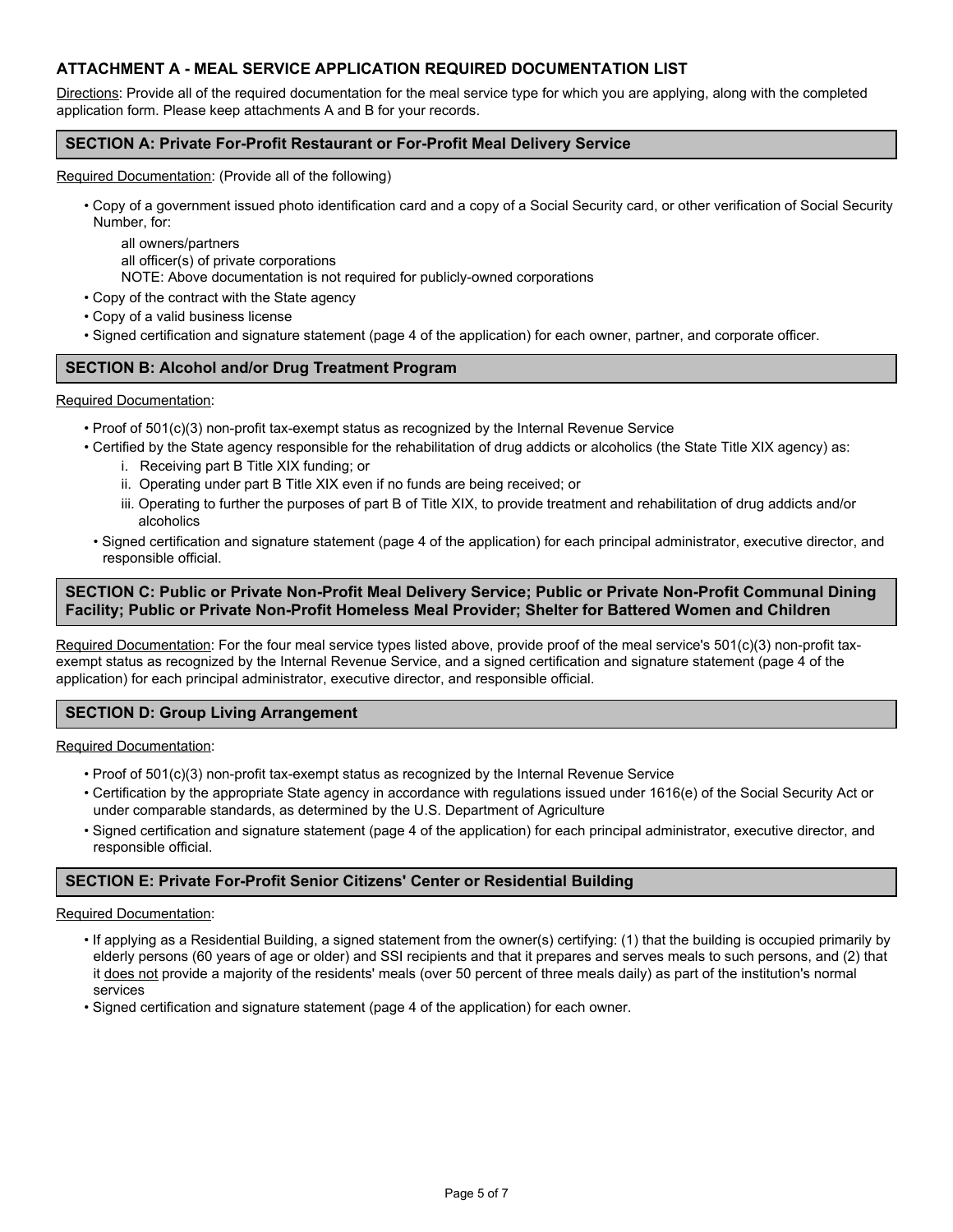# **ATTACHMENT A - MEAL SERVICE APPLICATION REQUIRED DOCUMENTATION LIST**

Directions: Provide all of the required documentation for the meal service type for which you are applying, along with the completed application form. Please keep attachments A and B for your records.

### **SECTION A: Private For-Profit Restaurant or For-Profit Meal Delivery Service**

Required Documentation: (Provide all of the following)

• Copy of a government issued photo identification card and a copy of a Social Security card, or other verification of Social Security Number, for:

all owners/partners all officer(s) of private corporations

NOTE: Above documentation is not required for publicly-owned corporations

• Copy of the contract with the State agency

- Copy of a valid business license
- Signed certification and signature statement (page 4 of the application) for each owner, partner, and corporate officer.

## **SECTION B: Alcohol and/or Drug Treatment Program**

#### Required Documentation:

- Proof of 501(c)(3) non-profit tax-exempt status as recognized by the Internal Revenue Service
- Certified by the State agency responsible for the rehabilitation of drug addicts or alcoholics (the State Title XIX agency) as:
	- i. Receiving part B Title XIX funding; or
	- ii. Operating under part B Title XIX even if no funds are being received; or
	- iii. Operating to further the purposes of part B of Title XIX, to provide treatment and rehabilitation of drug addicts and/or alcoholics
- Signed certification and signature statement (page 4 of the application) for each principal administrator, executive director, and responsible official.

## **SECTION C: Public or Private Non-Profit Meal Delivery Service; Public or Private Non-Profit Communal Dining Facility; Public or Private Non-Profit Homeless Meal Provider; Shelter for Battered Women and Children**

Required Documentation: For the four meal service types listed above, provide proof of the meal service's 501(c)(3) non-profit taxexempt status as recognized by the Internal Revenue Service, and a signed certification and signature statement (page 4 of the application) for each principal administrator, executive director, and responsible official.

### **SECTION D: Group Living Arrangement**

Required Documentation:

- Proof of 501(c)(3) non-profit tax-exempt status as recognized by the Internal Revenue Service
- Certification by the appropriate State agency in accordance with regulations issued under 1616(e) of the Social Security Act or under comparable standards, as determined by the U.S. Department of Agriculture
- Signed certification and signature statement (page 4 of the application) for each principal administrator, executive director, and responsible official.

### **SECTION E: Private For-Profit Senior Citizens' Center or Residential Building**

#### Required Documentation:

- If applying as a Residential Building, a signed statement from the owner(s) certifying: (1) that the building is occupied primarily by elderly persons (60 years of age or older) and SSI recipients and that it prepares and serves meals to such persons, and (2) that it does not provide a majority of the residents' meals (over 50 percent of three meals daily) as part of the institution's normal services
- Signed certification and signature statement (page 4 of the application) for each owner.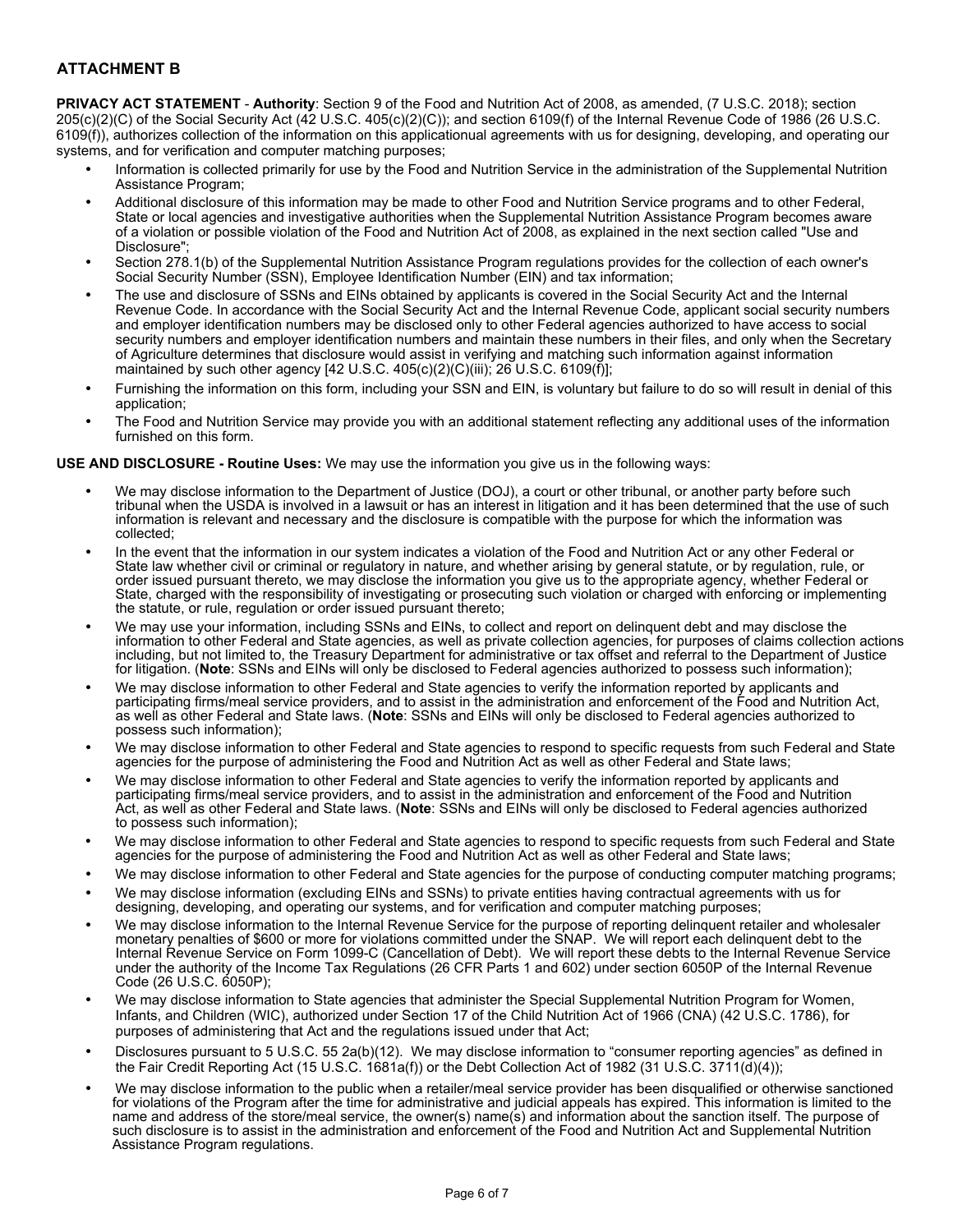# **ATTACHMENT B**

**PRIVACY ACT STATEMENT** - **Authority**: Section 9 of the Food and Nutrition Act of 2008, as amended, (7 U.S.C. 2018); section 205(c)(2)(C) of the Social Security Act (42 U.S.C. 405(c)(2)(C)); and section 6109(f) of the Internal Revenue Code of 1986 (26 U.S.C. 6109(f)), authorizes collection of the information on this applicationual agreements with us for designing, developing, and operating our systems, and for verification and computer matching purposes;

- Information is collected primarily for use by the Food and Nutrition Service in the administration of the Supplemental Nutrition Assistance Program;
- Additional disclosure of this information may be made to other Food and Nutrition Service programs and to other Federal, State or local agencies and investigative authorities when the Supplemental Nutrition Assistance Program becomes aware of a violation or possible violation of the Food and Nutrition Act of 2008, as explained in the next section called "Use and Disclosure";
- Section 278.1(b) of the Supplemental Nutrition Assistance Program regulations provides for the collection of each owner's Social Security Number (SSN), Employee Identification Number (EIN) and tax information;
- The use and disclosure of SSNs and EINs obtained by applicants is covered in the Social Security Act and the Internal Revenue Code. In accordance with the Social Security Act and the Internal Revenue Code, applicant social security numbers and employer identification numbers may be disclosed only to other Federal agencies authorized to have access to social security numbers and employer identification numbers and maintain these numbers in their files, and only when the Secretary of Agriculture determines that disclosure would assist in verifying and matching such information against information maintained by such other agency [42 U.S.C. 405(c)(2)(C)(iii); 26 U.S.C. 6109(f)];
- Furnishing the information on this form, including your SSN and EIN, is voluntary but failure to do so will result in denial of this application;
- The Food and Nutrition Service may provide you with an additional statement reflecting any additional uses of the information furnished on this form.

#### **USE AND DISCLOSURE - Routine Uses:** We may use the information you give us in the following ways:

- We may disclose information to the Department of Justice (DOJ), a court or other tribunal, or another party before such tribunal when the USDA is involved in a lawsuit or has an interest in litigation and it has been determined that the use of such information is relevant and necessary and the disclosure is compatible with the purpose for which the information was collected;
- In the event that the information in our system indicates a violation of the Food and Nutrition Act or any other Federal or State law whether civil or criminal or regulatory in nature, and whether arising by general statute, or by regulation, rule, or order issued pursuant thereto, we may disclose the information you give us to the appropriate agency, whether Federal or State, charged with the responsibility of investigating or prosecuting such violation or charged with enforcing or implementing the statute, or rule, regulation or order issued pursuant thereto;
- We may use your information, including SSNs and EINs, to collect and report on delinquent debt and may disclose the information to other Federal and State agencies, as well as private collection agencies, for purposes of claims collection actions including, but not limited to, the Treasury Department for administrative or tax offset and referral to the Department of Justice for litigation. (**Note**: SSNs and EINs will only be disclosed to Federal agencies authorized to possess such information);
- We may disclose information to other Federal and State agencies to verify the information reported by applicants and participating firms/meal service providers, and to assist in the administration and enforcement of the Food and Nutrition Act, as well as other Federal and State laws. (**Note**: SSNs and EINs will only be disclosed to Federal agencies authorized to possess such information);
- We may disclose information to other Federal and State agencies to respond to specific requests from such Federal and State agencies for the purpose of administering the Food and Nutrition Act as well as other Federal and State laws;
- We may disclose information to other Federal and State agencies to verify the information reported by applicants and participating firms/meal service providers, and to assist in the administration and enforcement of the Food and Nutrition Act, as well as other Federal and State laws. (**Note**: SSNs and EINs will only be disclosed to Federal agencies authorized to possess such information);
- We may disclose information to other Federal and State agencies to respond to specific requests from such Federal and State agencies for the purpose of administering the Food and Nutrition Act as well as other Federal and State laws;
- We may disclose information to other Federal and State agencies for the purpose of conducting computer matching programs;
- We may disclose information (excluding EINs and SSNs) to private entities having contractual agreements with us for designing, developing, and operating our systems, and for verification and computer matching purposes;
- We may disclose information to the Internal Revenue Service for the purpose of reporting delinquent retailer and wholesaler monetary penalties of \$600 or more for violations committed under the SNAP. We will report each delinquent debt to the Internal Revenue Service on Form 1099-C (Cancellation of Debt). We will report these debts to the Internal Revenue Service under the authority of the Income Tax Regulations (26 CFR Parts 1 and 602) under section 6050P of the Internal Revenue Code (26 U.S.C. 6050P);
- We may disclose information to State agencies that administer the Special Supplemental Nutrition Program for Women, Infants, and Children (WIC), authorized under Section 17 of the Child Nutrition Act of 1966 (CNA) (42 U.S.C. 1786), for purposes of administering that Act and the regulations issued under that Act;
- Disclosures pursuant to 5 U.S.C. 55 2a(b)(12). We may disclose information to "consumer reporting agencies" as defined in the Fair Credit Reporting Act (15 U.S.C. 1681a(f)) or the Debt Collection Act of 1982 (31 U.S.C. 3711(d)(4));
- We may disclose information to the public when a retailer/meal service provider has been disqualified or otherwise sanctioned for violations of the Program after the time for administrative and judicial appeals has expired. This information is limited to the name and address of the store/meal service, the owner(s) name(s) and information about the sanction itself. The purpose of such disclosure is to assist in the administration and enforcement of the Food and Nutrition Act and Supplemental Nutrition Assistance Program regulations.